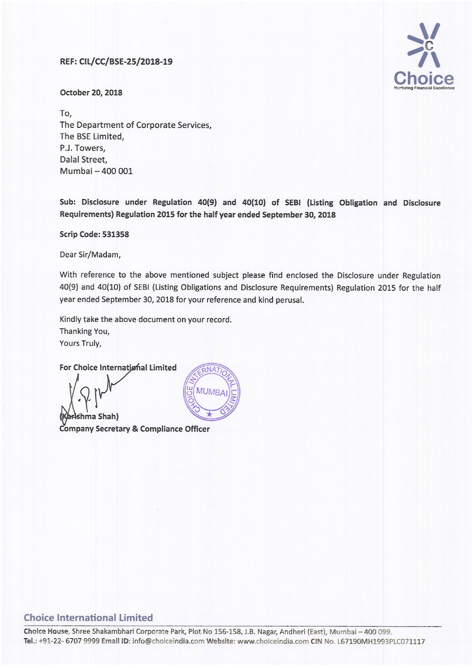## REF: CIL/CC/BSE-25/2018-19



October 20, 2018

To, The Department of Corporate Services, The BSE Limited, P.J. Towers, Dalal Street, Mumbai - 400 001

Sub: Disclosure under Regulation 40(9) and 40(10) of SEBI (Listing Obligation and Disclosure Requirements) Regulation 2015 for the half year ended September 30, <sup>2018</sup>

Scrip Code: 531358

Dear Sir/Madam,

With reference to the above mentioned subject please find enclosed the Disclosure under Regulation 40(9) and 40(10) of SEBI (Listing Obligations and Disclosure Requirements) Regulation <sup>2015</sup> for the half year ended September 30, 2018 for your reference and kind perusal.

 $ANA$ 

Kindly take the above document on your record.

Thanking You, Yours Truly,

For Choice International Limited

-?l **MUMRA** hma Shah) Company Secretary & Compliance Officer

## Choice International Limited